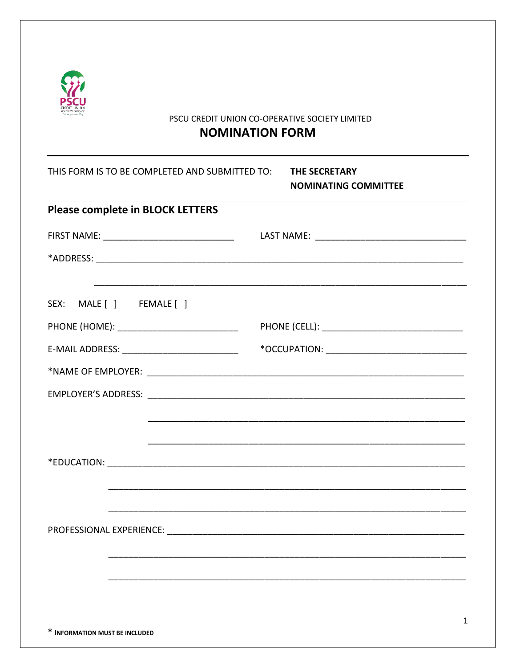

## PSCU CREDIT UNION CO-OPERATIVE SOCIETY LIMITED

## **NOMINATION FORM**

| THIS FORM IS TO BE COMPLETED AND SUBMITTED TO: | <b>THE SECRETARY</b><br><b>NOMINATING COMMITTEE</b> |
|------------------------------------------------|-----------------------------------------------------|
| <b>Please complete in BLOCK LETTERS</b>        |                                                     |
| FIRST NAME: __________________________________ |                                                     |
|                                                |                                                     |
| SEX: MALE [ ] FEMALE [ ]                       |                                                     |
|                                                |                                                     |
| E-MAIL ADDRESS: _____________________________  |                                                     |
|                                                |                                                     |
|                                                |                                                     |
|                                                |                                                     |
|                                                |                                                     |
|                                                |                                                     |
|                                                |                                                     |
|                                                |                                                     |
|                                                |                                                     |
|                                                |                                                     |
|                                                |                                                     |
|                                                | 1                                                   |
| * INFORMATION MUST BE INCLUDED                 |                                                     |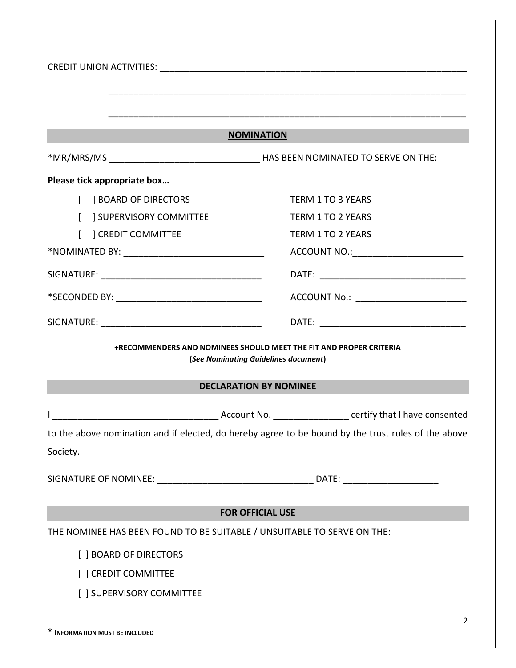| <b>NOMINATION</b>                                                                                          |                                                                                                                                                                                                                                |  |
|------------------------------------------------------------------------------------------------------------|--------------------------------------------------------------------------------------------------------------------------------------------------------------------------------------------------------------------------------|--|
|                                                                                                            |                                                                                                                                                                                                                                |  |
| Please tick appropriate box                                                                                |                                                                                                                                                                                                                                |  |
| <b>BOARD OF DIRECTORS</b>                                                                                  | <b>TERM 1 TO 3 YEARS</b>                                                                                                                                                                                                       |  |
| <b>J SUPERVISORY COMMITTEE</b>                                                                             | <b>TERM 1 TO 2 YEARS</b>                                                                                                                                                                                                       |  |
| <b>CREDIT COMMITTEE</b>                                                                                    | <b>TERM 1 TO 2 YEARS</b>                                                                                                                                                                                                       |  |
|                                                                                                            | ACCOUNT NO.: ___________________________                                                                                                                                                                                       |  |
|                                                                                                            | DATE: the contract of the contract of the contract of the contract of the contract of the contract of the contract of the contract of the contract of the contract of the contract of the contract of the contract of the cont |  |
|                                                                                                            | ACCOUNT No.: _________________________                                                                                                                                                                                         |  |
|                                                                                                            |                                                                                                                                                                                                                                |  |
| +RECOMMENDERS AND NOMINEES SHOULD MEET THE FIT AND PROPER CRITERIA<br>(See Nominating Guidelines document) |                                                                                                                                                                                                                                |  |
| <b>DECLARATION BY NOMINEE</b>                                                                              |                                                                                                                                                                                                                                |  |
|                                                                                                            |                                                                                                                                                                                                                                |  |
| to the above nomination and if elected, do hereby agree to be bound by the trust rules of the above        |                                                                                                                                                                                                                                |  |
| Society.                                                                                                   |                                                                                                                                                                                                                                |  |
|                                                                                                            |                                                                                                                                                                                                                                |  |
|                                                                                                            |                                                                                                                                                                                                                                |  |
| <b>FOR OFFICIAL USE</b>                                                                                    |                                                                                                                                                                                                                                |  |
| THE NOMINEE HAS BEEN FOUND TO BE SUITABLE / UNSUITABLE TO SERVE ON THE:                                    |                                                                                                                                                                                                                                |  |
| [ ] BOARD OF DIRECTORS                                                                                     |                                                                                                                                                                                                                                |  |
| [ ] CREDIT COMMITTEE                                                                                       |                                                                                                                                                                                                                                |  |
| [ ] SUPERVISORY COMMITTEE                                                                                  |                                                                                                                                                                                                                                |  |
|                                                                                                            |                                                                                                                                                                                                                                |  |
|                                                                                                            | 2                                                                                                                                                                                                                              |  |